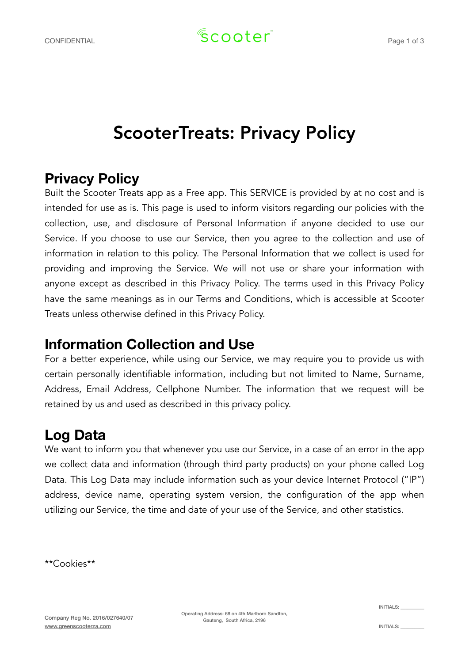# ScooterTreats: Privacy Policy

### **Privacy Policy**

Built the Scooter Treats app as a Free app. This SERVICE is provided by at no cost and is intended for use as is. This page is used to inform visitors regarding our policies with the collection, use, and disclosure of Personal Information if anyone decided to use our Service. If you choose to use our Service, then you agree to the collection and use of information in relation to this policy. The Personal Information that we collect is used for providing and improving the Service. We will not use or share your information with anyone except as described in this Privacy Policy. The terms used in this Privacy Policy have the same meanings as in our Terms and Conditions, which is accessible at Scooter Treats unless otherwise defined in this Privacy Policy.

### **Information Collection and Use**

For a better experience, while using our Service, we may require you to provide us with certain personally identifiable information, including but not limited to Name, Surname, Address, Email Address, Cellphone Number. The information that we request will be retained by us and used as described in this privacy policy.

### **Log Data**

We want to inform you that whenever you use our Service, in a case of an error in the app we collect data and information (through third party products) on your phone called Log Data. This Log Data may include information such as your device Internet Protocol ("IP") address, device name, operating system version, the configuration of the app when utilizing our Service, the time and date of your use of the Service, and other statistics.

\*\*Cookies\*\*

Operating Address: 68 on 4th Marlboro Sandton, Gauteng, South Africa, 2196

INITIALS: \_\_\_\_\_\_\_\_\_\_

INITIALS: \_\_\_\_\_\_\_\_\_\_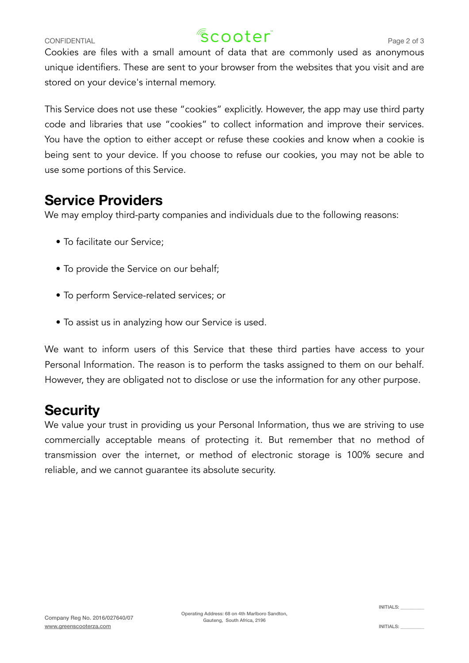## CONFIDENTIAL  $\sqrt{8}$  C O Q  $\text{ter}^2$  Page 2 of 3

Cookies are files with a small amount of data that are commonly used as anonymous unique identifiers. These are sent to your browser from the websites that you visit and are stored on your device's internal memory.

This Service does not use these "cookies" explicitly. However, the app may use third party code and libraries that use "cookies" to collect information and improve their services. You have the option to either accept or refuse these cookies and know when a cookie is being sent to your device. If you choose to refuse our cookies, you may not be able to use some portions of this Service.

### **Service Providers**

We may employ third-party companies and individuals due to the following reasons:

- To facilitate our Service;
- To provide the Service on our behalf;
- To perform Service-related services; or
- To assist us in analyzing how our Service is used.

We want to inform users of this Service that these third parties have access to your Personal Information. The reason is to perform the tasks assigned to them on our behalf. However, they are obligated not to disclose or use the information for any other purpose.

### **Security**

We value your trust in providing us your Personal Information, thus we are striving to use commercially acceptable means of protecting it. But remember that no method of transmission over the internet, or method of electronic storage is 100% secure and reliable, and we cannot guarantee its absolute security.

INITIALS: \_\_\_\_\_\_\_\_\_\_